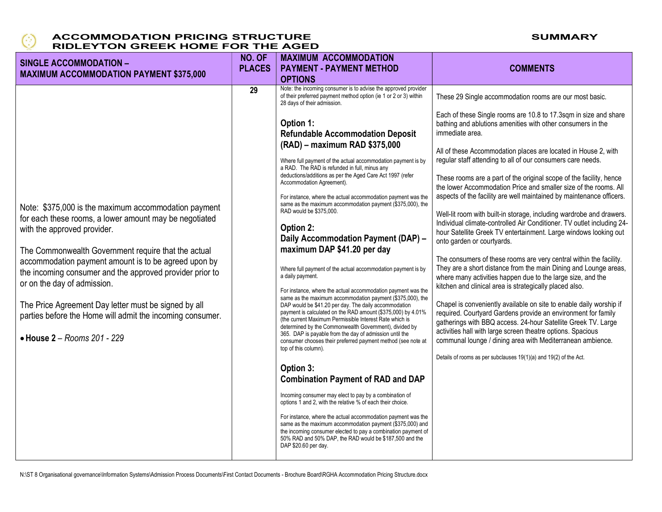

| <b>SINGLE ACCOMMODATION -</b><br><b>MAXIMUM ACCOMMODATION PAYMENT \$375,000</b>                                                                                                                                                                                                                                                                                                                                                                                                                             | NO. OF<br><b>PLACES</b> | <b>MAXIMUM ACCOMMODATION</b><br><b>PAYMENT - PAYMENT METHOD</b><br><b>OPTIONS</b>                                                                                                                                                                                                                                                                                                                                                                                                                                                                                                                                                                                                                                                                                                                                                                                                                                                                                                                                                                                                                                                                                                                                                                                                                                                                                                                                                                                                                                                                                                                                                  | <b>COMMENTS</b>                                                                                                                                                                                                                                                                                                                                                                                                                                                                                                                                                                                                                                                                                                                                                                                                                                                                                                                                                                                                                                                                                                                                                                                                                                                                                                                                                                                                                           |
|-------------------------------------------------------------------------------------------------------------------------------------------------------------------------------------------------------------------------------------------------------------------------------------------------------------------------------------------------------------------------------------------------------------------------------------------------------------------------------------------------------------|-------------------------|------------------------------------------------------------------------------------------------------------------------------------------------------------------------------------------------------------------------------------------------------------------------------------------------------------------------------------------------------------------------------------------------------------------------------------------------------------------------------------------------------------------------------------------------------------------------------------------------------------------------------------------------------------------------------------------------------------------------------------------------------------------------------------------------------------------------------------------------------------------------------------------------------------------------------------------------------------------------------------------------------------------------------------------------------------------------------------------------------------------------------------------------------------------------------------------------------------------------------------------------------------------------------------------------------------------------------------------------------------------------------------------------------------------------------------------------------------------------------------------------------------------------------------------------------------------------------------------------------------------------------------|-------------------------------------------------------------------------------------------------------------------------------------------------------------------------------------------------------------------------------------------------------------------------------------------------------------------------------------------------------------------------------------------------------------------------------------------------------------------------------------------------------------------------------------------------------------------------------------------------------------------------------------------------------------------------------------------------------------------------------------------------------------------------------------------------------------------------------------------------------------------------------------------------------------------------------------------------------------------------------------------------------------------------------------------------------------------------------------------------------------------------------------------------------------------------------------------------------------------------------------------------------------------------------------------------------------------------------------------------------------------------------------------------------------------------------------------|
|                                                                                                                                                                                                                                                                                                                                                                                                                                                                                                             | 29                      | Note: the incoming consumer is to advise the approved provider<br>of their preferred payment method option (ie 1 or 2 or 3) within<br>28 days of their admission.                                                                                                                                                                                                                                                                                                                                                                                                                                                                                                                                                                                                                                                                                                                                                                                                                                                                                                                                                                                                                                                                                                                                                                                                                                                                                                                                                                                                                                                                  | These 29 Single accommodation rooms are our most basic.                                                                                                                                                                                                                                                                                                                                                                                                                                                                                                                                                                                                                                                                                                                                                                                                                                                                                                                                                                                                                                                                                                                                                                                                                                                                                                                                                                                   |
| Note: \$375,000 is the maximum accommodation payment<br>for each these rooms, a lower amount may be negotiated<br>with the approved provider.<br>The Commonwealth Government require that the actual<br>accommodation payment amount is to be agreed upon by<br>the incoming consumer and the approved provider prior to<br>or on the day of admission.<br>The Price Agreement Day letter must be signed by all<br>parties before the Home will admit the incoming consumer.<br>• House 2 - Rooms 201 - 229 |                         | Option 1:<br><b>Refundable Accommodation Deposit</b><br>(RAD) - maximum RAD \$375,000<br>Where full payment of the actual accommodation payment is by<br>a RAD. The RAD is refunded in full, minus any<br>deductions/additions as per the Aged Care Act 1997 (refer<br>Accommodation Agreement).<br>For instance, where the actual accommodation payment was the<br>same as the maximum accommodation payment (\$375,000), the<br>RAD would be \$375,000.<br>Option 2:<br>Daily Accommodation Payment (DAP) -<br>maximum DAP \$41.20 per day<br>Where full payment of the actual accommodation payment is by<br>a daily payment.<br>For instance, where the actual accommodation payment was the<br>same as the maximum accommodation payment (\$375,000), the<br>DAP would be \$41.20 per day. The daily accommodation<br>payment is calculated on the RAD amount (\$375,000) by 4.01%<br>(the current Maximum Permissible Interest Rate which is<br>determined by the Commonwealth Government), divided by<br>365. DAP is payable from the day of admission until the<br>consumer chooses their preferred payment method (see note at<br>top of this column).<br>Option 3:<br><b>Combination Payment of RAD and DAP</b><br>Incoming consumer may elect to pay by a combination of<br>options 1 and 2, with the relative % of each their choice.<br>For instance, where the actual accommodation payment was the<br>same as the maximum accommodation payment (\$375,000) and<br>the incoming consumer elected to pay a combination payment of<br>50% RAD and 50% DAP, the RAD would be \$187,500 and the<br>DAP \$20.60 per day. | Each of these Single rooms are 10.8 to 17.3sqm in size and share<br>bathing and ablutions amenities with other consumers in the<br>immediate area.<br>All of these Accommodation places are located in House 2, with<br>regular staff attending to all of our consumers care needs.<br>These rooms are a part of the original scope of the facility, hence<br>the lower Accommodation Price and smaller size of the rooms. All<br>aspects of the facility are well maintained by maintenance officers.<br>Well-lit room with built-in storage, including wardrobe and drawers.<br>Individual climate-controlled Air Conditioner. TV outlet including 24-<br>hour Satellite Greek TV entertainment. Large windows looking out<br>onto garden or courtyards.<br>The consumers of these rooms are very central within the facility.<br>They are a short distance from the main Dining and Lounge areas,<br>where many activities happen due to the large size, and the<br>kitchen and clinical area is strategically placed also.<br>Chapel is conveniently available on site to enable daily worship if<br>required. Courtyard Gardens provide an environment for family<br>gatherings with BBQ access. 24-hour Satellite Greek TV. Large<br>activities hall with large screen theatre options. Spacious<br>communal lounge / dining area with Mediterranean ambience.<br>Details of rooms as per subclauses 19(1)(a) and 19(2) of the Act. |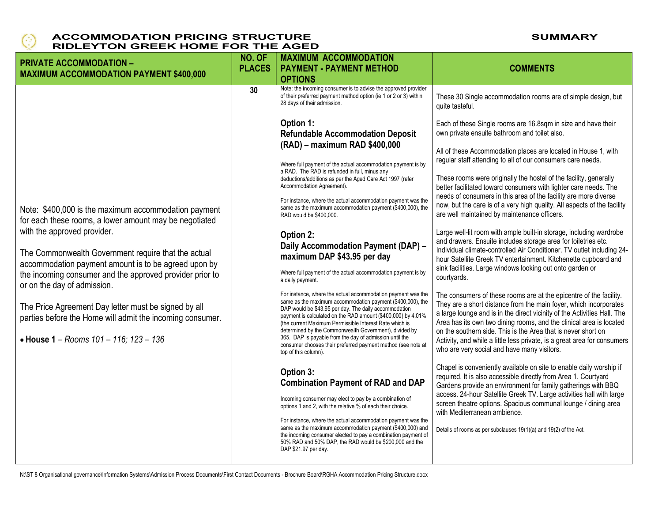

| <b>PRIVATE ACCOMMODATION -</b><br><b>MAXIMUM ACCOMMODATION PAYMENT \$400,000</b>                                                                                                                       | NO. OF<br><b>PLACES</b> | <b>MAXIMUM ACCOMMODATION</b><br><b>PAYMENT - PAYMENT METHOD</b><br><b>OPTIONS</b>                                                                                                                                                                                                                                                                                                                                                                                                                                           | <b>COMMENTS</b>                                                                                                                                                                                                                                                                                                                                                                                                                                                                        |
|--------------------------------------------------------------------------------------------------------------------------------------------------------------------------------------------------------|-------------------------|-----------------------------------------------------------------------------------------------------------------------------------------------------------------------------------------------------------------------------------------------------------------------------------------------------------------------------------------------------------------------------------------------------------------------------------------------------------------------------------------------------------------------------|----------------------------------------------------------------------------------------------------------------------------------------------------------------------------------------------------------------------------------------------------------------------------------------------------------------------------------------------------------------------------------------------------------------------------------------------------------------------------------------|
|                                                                                                                                                                                                        | 30                      | Note: the incoming consumer is to advise the approved provider<br>of their preferred payment method option (ie 1 or 2 or 3) within<br>28 days of their admission.                                                                                                                                                                                                                                                                                                                                                           | These 30 Single accommodation rooms are of simple design, but<br>quite tasteful.                                                                                                                                                                                                                                                                                                                                                                                                       |
|                                                                                                                                                                                                        |                         | Option 1:<br><b>Refundable Accommodation Deposit</b><br>(RAD) - maximum RAD \$400,000                                                                                                                                                                                                                                                                                                                                                                                                                                       | Each of these Single rooms are 16.8sqm in size and have their<br>own private ensuite bathroom and toilet also.                                                                                                                                                                                                                                                                                                                                                                         |
|                                                                                                                                                                                                        |                         | Where full payment of the actual accommodation payment is by<br>a RAD. The RAD is refunded in full, minus any<br>deductions/additions as per the Aged Care Act 1997 (refer<br>Accommodation Agreement).                                                                                                                                                                                                                                                                                                                     | All of these Accommodation places are located in House 1, with<br>regular staff attending to all of our consumers care needs.<br>These rooms were originally the hostel of the facility, generally<br>better facilitated toward consumers with lighter care needs. The                                                                                                                                                                                                                 |
| Note: \$400,000 is the maximum accommodation payment<br>for each these rooms, a lower amount may be negotiated                                                                                         |                         | For instance, where the actual accommodation payment was the<br>same as the maximum accommodation payment (\$400,000), the<br>RAD would be \$400,000.                                                                                                                                                                                                                                                                                                                                                                       | needs of consumers in this area of the facility are more diverse<br>now, but the care is of a very high quality. All aspects of the facility<br>are well maintained by maintenance officers.                                                                                                                                                                                                                                                                                           |
| with the approved provider.<br>The Commonwealth Government require that the actual<br>accommodation payment amount is to be agreed upon by<br>the incoming consumer and the approved provider prior to |                         | Option 2:<br>Daily Accommodation Payment (DAP) -<br>maximum DAP \$43.95 per day<br>Where full payment of the actual accommodation payment is by<br>a daily payment.                                                                                                                                                                                                                                                                                                                                                         | Large well-lit room with ample built-in storage, including wardrobe<br>and drawers. Ensuite includes storage area for toiletries etc.<br>Individual climate-controlled Air Conditioner. TV outlet including 24-<br>hour Satellite Greek TV entertainment. Kitchenette cupboard and<br>sink facilities. Large windows looking out onto garden or<br>courtyards.                                                                                                                         |
| or on the day of admission.<br>The Price Agreement Day letter must be signed by all<br>parties before the Home will admit the incoming consumer.<br>• House 1 - Rooms 101 - 116; 123 - 136             |                         | For instance, where the actual accommodation payment was the<br>same as the maximum accommodation payment (\$400,000), the<br>DAP would be \$43.95 per day. The daily accommodation<br>payment is calculated on the RAD amount (\$400,000) by 4.01%<br>(the current Maximum Permissible Interest Rate which is<br>determined by the Commonwealth Government), divided by<br>365. DAP is payable from the day of admission until the<br>consumer chooses their preferred payment method (see note at<br>top of this column). | The consumers of these rooms are at the epicentre of the facility.<br>They are a short distance from the main foyer, which incorporates<br>a large lounge and is in the direct vicinity of the Activities Hall. The<br>Area has its own two dining rooms, and the clinical area is located<br>on the southern side. This is the Area that is never short on<br>Activity, and while a little less private, is a great area for consumers<br>who are very social and have many visitors. |
|                                                                                                                                                                                                        |                         | Option 3:<br><b>Combination Payment of RAD and DAP</b><br>Incoming consumer may elect to pay by a combination of<br>options 1 and 2, with the relative % of each their choice.                                                                                                                                                                                                                                                                                                                                              | Chapel is conveniently available on site to enable daily worship if<br>required. It is also accessible directly from Area 1. Courtyard<br>Gardens provide an environment for family gatherings with BBQ<br>access. 24-hour Satellite Greek TV. Large activities hall with large<br>screen theatre options. Spacious communal lounge / dining area                                                                                                                                      |
|                                                                                                                                                                                                        |                         | For instance, where the actual accommodation payment was the<br>same as the maximum accommodation payment (\$400,000) and<br>the incoming consumer elected to pay a combination payment of<br>50% RAD and 50% DAP, the RAD would be \$200,000 and the<br>DAP \$21.97 per day.                                                                                                                                                                                                                                               | with Mediterranean ambience.<br>Details of rooms as per subclauses 19(1)(a) and 19(2) of the Act.                                                                                                                                                                                                                                                                                                                                                                                      |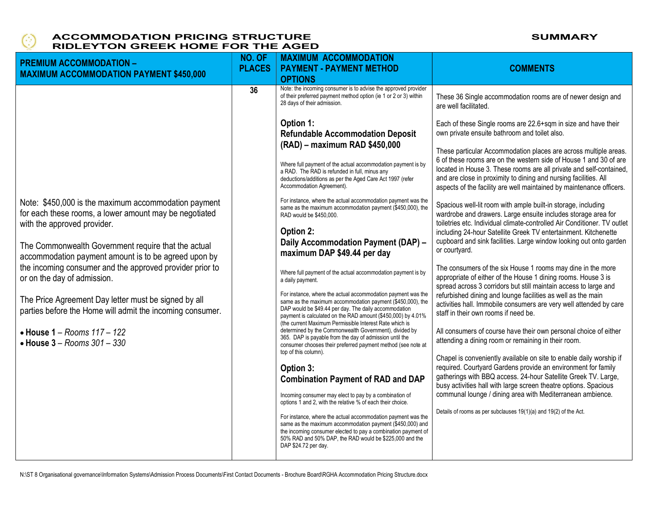

| <b>PREMIUM ACCOMMODATION -</b><br><b>MAXIMUM ACCOMMODATION PAYMENT \$450,000</b>                                                              | NO. OF<br><b>PLACES</b> | <b>MAXIMUM ACCOMMODATION</b><br><b>PAYMENT - PAYMENT METHOD</b><br><b>OPTIONS</b>                                                                                                                                                                                             | <b>COMMENTS</b>                                                                                                                                                                                                                                                               |
|-----------------------------------------------------------------------------------------------------------------------------------------------|-------------------------|-------------------------------------------------------------------------------------------------------------------------------------------------------------------------------------------------------------------------------------------------------------------------------|-------------------------------------------------------------------------------------------------------------------------------------------------------------------------------------------------------------------------------------------------------------------------------|
|                                                                                                                                               | 36                      | Note: the incoming consumer is to advise the approved provider<br>of their preferred payment method option (ie 1 or 2 or 3) within<br>28 days of their admission.                                                                                                             | These 36 Single accommodation rooms are of newer design and<br>are well facilitated.                                                                                                                                                                                          |
|                                                                                                                                               |                         | Option 1:<br><b>Refundable Accommodation Deposit</b><br>(RAD) - maximum RAD \$450,000                                                                                                                                                                                         | Each of these Single rooms are 22.6+sqm in size and have their<br>own private ensuite bathroom and toilet also.<br>These particular Accommodation places are across multiple areas.<br>6 of these rooms are on the western side of House 1 and 30 of are                      |
|                                                                                                                                               |                         | Where full payment of the actual accommodation payment is by<br>a RAD. The RAD is refunded in full, minus any<br>deductions/additions as per the Aged Care Act 1997 (refer<br>Accommodation Agreement).                                                                       | located in House 3. These rooms are all private and self-contained,<br>and are close in proximity to dining and nursing facilities. All<br>aspects of the facility are well maintained by maintenance officers.                                                               |
| Note: \$450,000 is the maximum accommodation payment<br>for each these rooms, a lower amount may be negotiated<br>with the approved provider. |                         | For instance, where the actual accommodation payment was the<br>same as the maximum accommodation payment (\$450,000), the<br>RAD would be \$450,000.<br>Option 2:                                                                                                            | Spacious well-lit room with ample built-in storage, including<br>wardrobe and drawers. Large ensuite includes storage area for<br>toiletries etc. Individual climate-controlled Air Conditioner. TV outlet<br>including 24-hour Satellite Greek TV entertainment. Kitchenette |
| The Commonwealth Government require that the actual<br>accommodation payment amount is to be agreed upon by                                   |                         | Daily Accommodation Payment (DAP) -<br>maximum DAP \$49.44 per day                                                                                                                                                                                                            | cupboard and sink facilities. Large window looking out onto garden<br>or courtyard.                                                                                                                                                                                           |
| the incoming consumer and the approved provider prior to<br>or on the day of admission.                                                       |                         | Where full payment of the actual accommodation payment is by<br>a daily payment.<br>For instance, where the actual accommodation payment was the                                                                                                                              | The consumers of the six House 1 rooms may dine in the more<br>appropriate of either of the House 1 dining rooms. House 3 is<br>spread across 3 corridors but still maintain access to large and<br>refurbished dining and lounge facilities as well as the main              |
| The Price Agreement Day letter must be signed by all<br>parties before the Home will admit the incoming consumer.                             |                         | same as the maximum accommodation payment (\$450,000), the<br>DAP would be \$49.44 per day. The daily accommodation<br>payment is calculated on the RAD amount (\$450,000) by 4.01%<br>(the current Maximum Permissible Interest Rate which is                                | activities hall. Immobile consumers are very well attended by care<br>staff in their own rooms if need be.                                                                                                                                                                    |
| $\bullet$ House 1 - Rooms 117 - 122<br>$\bullet$ House 3 - Rooms 301 - 330                                                                    |                         | determined by the Commonwealth Government), divided by<br>365. DAP is payable from the day of admission until the<br>consumer chooses their preferred payment method (see note at<br>top of this column).                                                                     | All consumers of course have their own personal choice of either<br>attending a dining room or remaining in their room.                                                                                                                                                       |
|                                                                                                                                               |                         | Option 3:<br><b>Combination Payment of RAD and DAP</b>                                                                                                                                                                                                                        | Chapel is conveniently available on site to enable daily worship if<br>required. Courtyard Gardens provide an environment for family<br>gatherings with BBQ access. 24-hour Satellite Greek TV. Large,<br>busy activities hall with large screen theatre options. Spacious    |
|                                                                                                                                               |                         | Incoming consumer may elect to pay by a combination of<br>options 1 and 2, with the relative % of each their choice.                                                                                                                                                          | communal lounge / dining area with Mediterranean ambience.<br>Details of rooms as per subclauses 19(1)(a) and 19(2) of the Act.                                                                                                                                               |
|                                                                                                                                               |                         | For instance, where the actual accommodation payment was the<br>same as the maximum accommodation payment (\$450,000) and<br>the incoming consumer elected to pay a combination payment of<br>50% RAD and 50% DAP, the RAD would be \$225,000 and the<br>DAP \$24.72 per day. |                                                                                                                                                                                                                                                                               |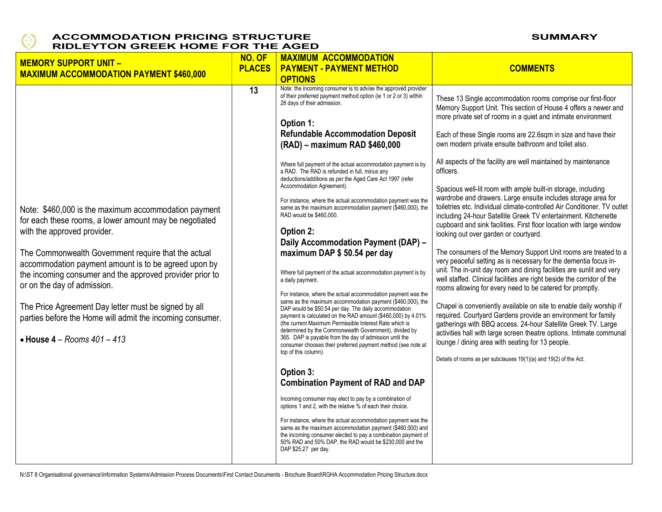

| <b>MEMORY SUPPORT UNIT -</b><br><b>MAXIMUM ACCOMMODATION PAYMENT \$460,000</b>                                                                                                                                                                                                                                                                                                                                                                                                                                      | NO. OF<br><b>PLACES</b> | <b>MAXIMUM ACCOMMODATION</b><br><b>PAYMENT - PAYMENT METHOD</b><br><b>OPTIONS</b>                                                                                                                                                                                                                                                                                                                                                                                                                                                                                                                                                                                                                                                                                                                                                                                                                                                                                                                                                                                                                                                                                                                                                                                                                                                                                                                                                                                                                                                                                                                                                                                                                                                                                                                       | <b>COMMENTS</b>                                                                                                                                                                                                                                                                                                                                                                                                                                                                                                                                                                                                                                                                                                                                                                                                                                                                                                                                                                                                                                                                                                                                                                                                                                                                                                                                                                                                                                                                                                                                                            |
|---------------------------------------------------------------------------------------------------------------------------------------------------------------------------------------------------------------------------------------------------------------------------------------------------------------------------------------------------------------------------------------------------------------------------------------------------------------------------------------------------------------------|-------------------------|---------------------------------------------------------------------------------------------------------------------------------------------------------------------------------------------------------------------------------------------------------------------------------------------------------------------------------------------------------------------------------------------------------------------------------------------------------------------------------------------------------------------------------------------------------------------------------------------------------------------------------------------------------------------------------------------------------------------------------------------------------------------------------------------------------------------------------------------------------------------------------------------------------------------------------------------------------------------------------------------------------------------------------------------------------------------------------------------------------------------------------------------------------------------------------------------------------------------------------------------------------------------------------------------------------------------------------------------------------------------------------------------------------------------------------------------------------------------------------------------------------------------------------------------------------------------------------------------------------------------------------------------------------------------------------------------------------------------------------------------------------------------------------------------------------|----------------------------------------------------------------------------------------------------------------------------------------------------------------------------------------------------------------------------------------------------------------------------------------------------------------------------------------------------------------------------------------------------------------------------------------------------------------------------------------------------------------------------------------------------------------------------------------------------------------------------------------------------------------------------------------------------------------------------------------------------------------------------------------------------------------------------------------------------------------------------------------------------------------------------------------------------------------------------------------------------------------------------------------------------------------------------------------------------------------------------------------------------------------------------------------------------------------------------------------------------------------------------------------------------------------------------------------------------------------------------------------------------------------------------------------------------------------------------------------------------------------------------------------------------------------------------|
| Note: \$460,000 is the maximum accommodation payment<br>for each these rooms, a lower amount may be negotiated<br>with the approved provider.<br>The Commonwealth Government require that the actual<br>accommodation payment amount is to be agreed upon by<br>the incoming consumer and the approved provider prior to<br>or on the day of admission.<br>The Price Agreement Day letter must be signed by all<br>parties before the Home will admit the incoming consumer.<br>$\bullet$ House 4 - Rooms 401 - 413 | 13                      | Note: the incoming consumer is to advise the approved provider<br>of their preferred payment method option (ie 1 or 2 or 3) within<br>28 days of their admission.<br>Option 1:<br><b>Refundable Accommodation Deposit</b><br>(RAD) - maximum RAD \$460,000<br>Where full payment of the actual accommodation payment is by<br>a RAD. The RAD is refunded in full, minus any<br>deductions/additions as per the Aged Care Act 1997 (refer<br>Accommodation Agreement).<br>For instance, where the actual accommodation payment was the<br>same as the maximum accommodation payment (\$460,000), the<br>RAD would be \$460,000.<br>Option 2:<br>Daily Accommodation Payment (DAP) -<br>maximum DAP \$50.54 per day<br>Where full payment of the actual accommodation payment is by<br>a daily payment.<br>For instance, where the actual accommodation payment was the<br>same as the maximum accommodation payment (\$460,000), the<br>DAP would be \$50.54 per day. The daily accommodation<br>payment is calculated on the RAD amount (\$460,000) by 4.01%<br>(the current Maximum Permissible Interest Rate which is<br>determined by the Commonwealth Government), divided by<br>365. DAP is payable from the day of admission until the<br>consumer chooses their preferred payment method (see note at<br>top of this column).<br>Option 3:<br><b>Combination Payment of RAD and DAP</b><br>Incoming consumer may elect to pay by a combination of<br>options 1 and 2, with the relative % of each their choice.<br>For instance, where the actual accommodation payment was the<br>same as the maximum accommodation payment (\$460,000) and<br>the incoming consumer elected to pay a combination payment of<br>50% RAD and 50% DAP, the RAD would be \$230,000 and the<br>DAP \$25.27 per day. | These 13 Single accommodation rooms comprise our first-floor<br>Memory Support Unit. This section of House 4 offers a newer and<br>more private set of rooms in a quiet and intimate environment<br>Each of these Single rooms are 22.6sqm in size and have their<br>own modern private ensuite bathroom and toilet also.<br>All aspects of the facility are well maintained by maintenance<br>officers.<br>Spacious well-lit room with ample built-in storage, including<br>wardrobe and drawers. Large ensuite includes storage area for<br>toiletries etc. Individual climate-controlled Air Conditioner. TV outlet<br>including 24-hour Satellite Greek TV entertainment. Kitchenette<br>cupboard and sink facilities. First floor location with large window<br>looking out over garden or courtyard.<br>The consumers of the Memory Support Unit rooms are treated to a<br>very peaceful setting as is necessary for the dementia focus in-<br>unit. The in-unit day room and dining facilities are sunlit and very<br>well staffed. Clinical facilities are right beside the corridor of the<br>rooms allowing for every need to be catered for promptly.<br>Chapel is conveniently available on site to enable daily worship if<br>required. Courtyard Gardens provide an environment for family<br>gatherings with BBQ access. 24-hour Satellite Greek TV. Large<br>activities hall with large screen theatre options. Intimate communal<br>lounge / dining area with seating for 13 people.<br>Details of rooms as per subclauses 19(1)(a) and 19(2) of the Act. |